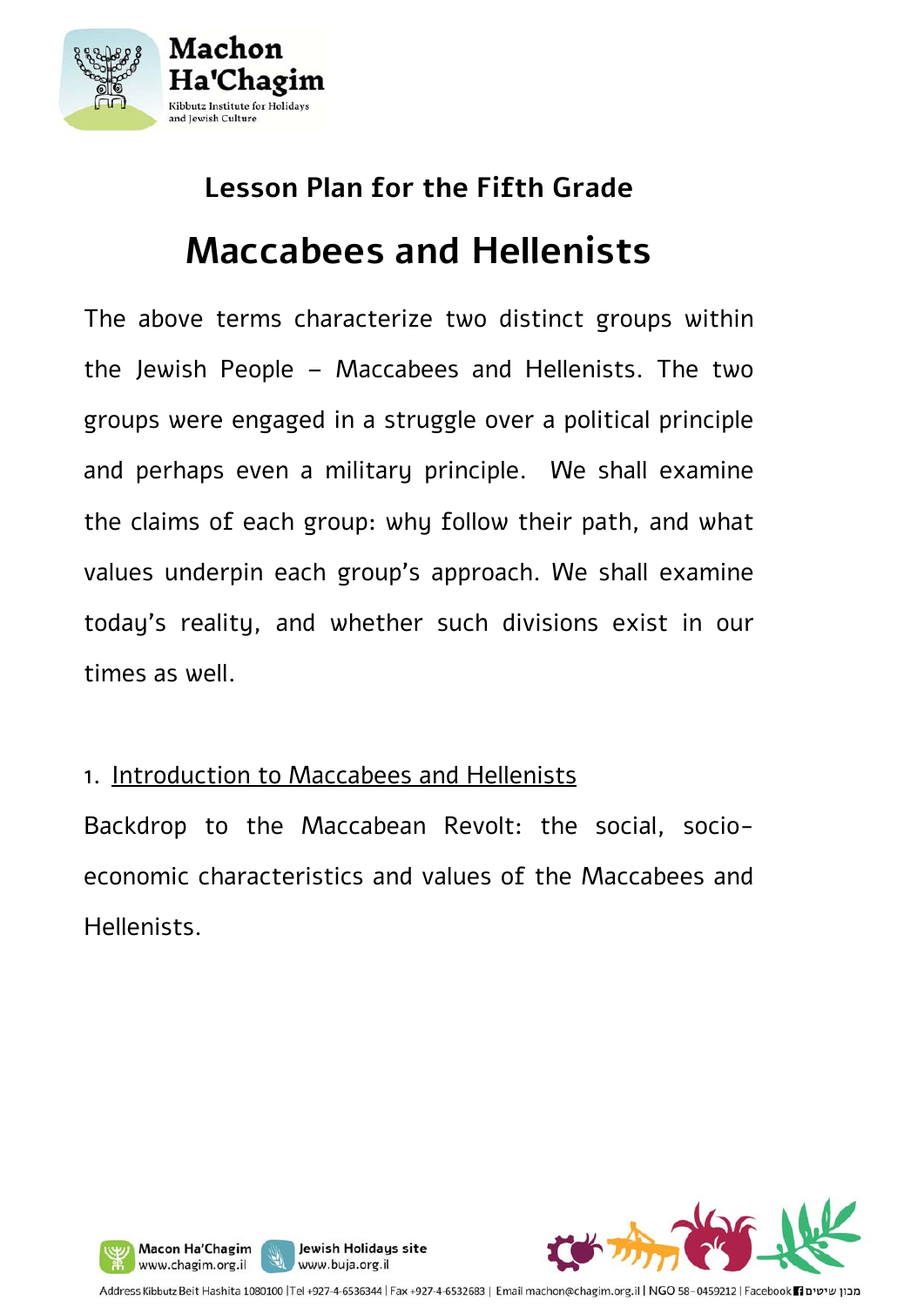

# **Lesson Plan for the Fifth Grade Maccabees and Hellenists**

The above terms characterize two distinct groups within the Jewish People – Maccabees and Hellenists. The two groups were engaged in a struggle over a political principle and perhaps even a military principle. We shall examine the claims of each group: why follow their path, and what values underpin each group's approach. We shall examine today's reality, and whether such divisions exist in our times as well.

#### 1. Introduction to Maccabees and Hellenists

Backdrop to the Maccabean Revolt: the social, socioeconomic characteristics and values of the Maccabees and **Hellenists** 



Address Kibbutz Beit Hashita 1080100 |Tel +927-4-6536344 | Fax +927-4-6532683 | Email machon@chagim.org.il | NGO 58-0459212 | Facebook | acebook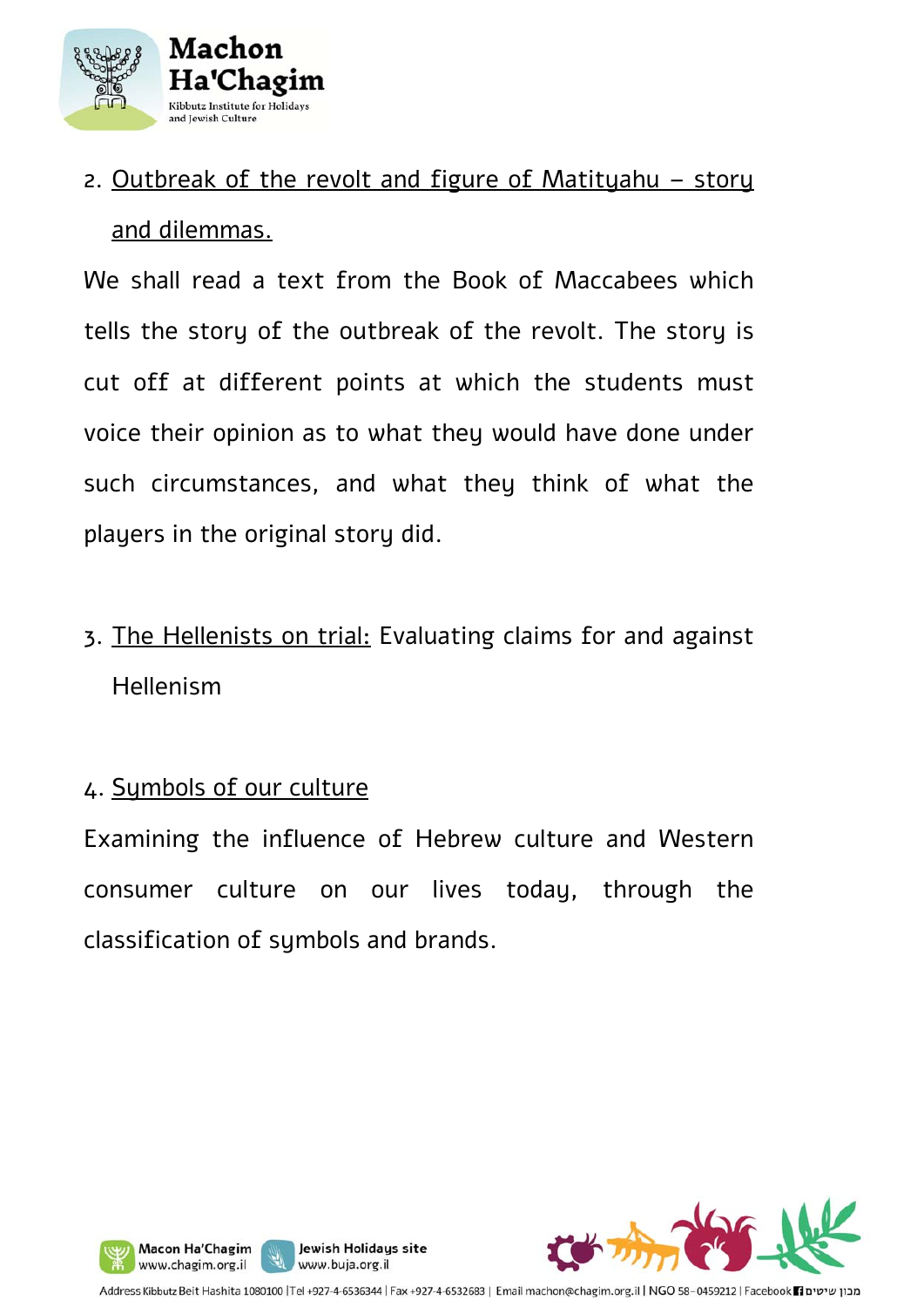

### 2. Outbreak of the revolt and figure of Matityahu – story and dilemmas.

We shall read a text from the Book of Maccabees which tells the story of the outbreak of the revolt. The story is cut off at different points at which the students must voice their opinion as to what they would have done under such circumstances, and what they think of what the players in the original story did.

3. The Hellenists on trial: Evaluating claims for and against Hellenism

#### 4. Symbols of our culture

Macon Ha'Chagim

Examining the influence of Hebrew culture and Western consumer culture on our lives today, through the classification of symbols and brands.



Jewish Holidays site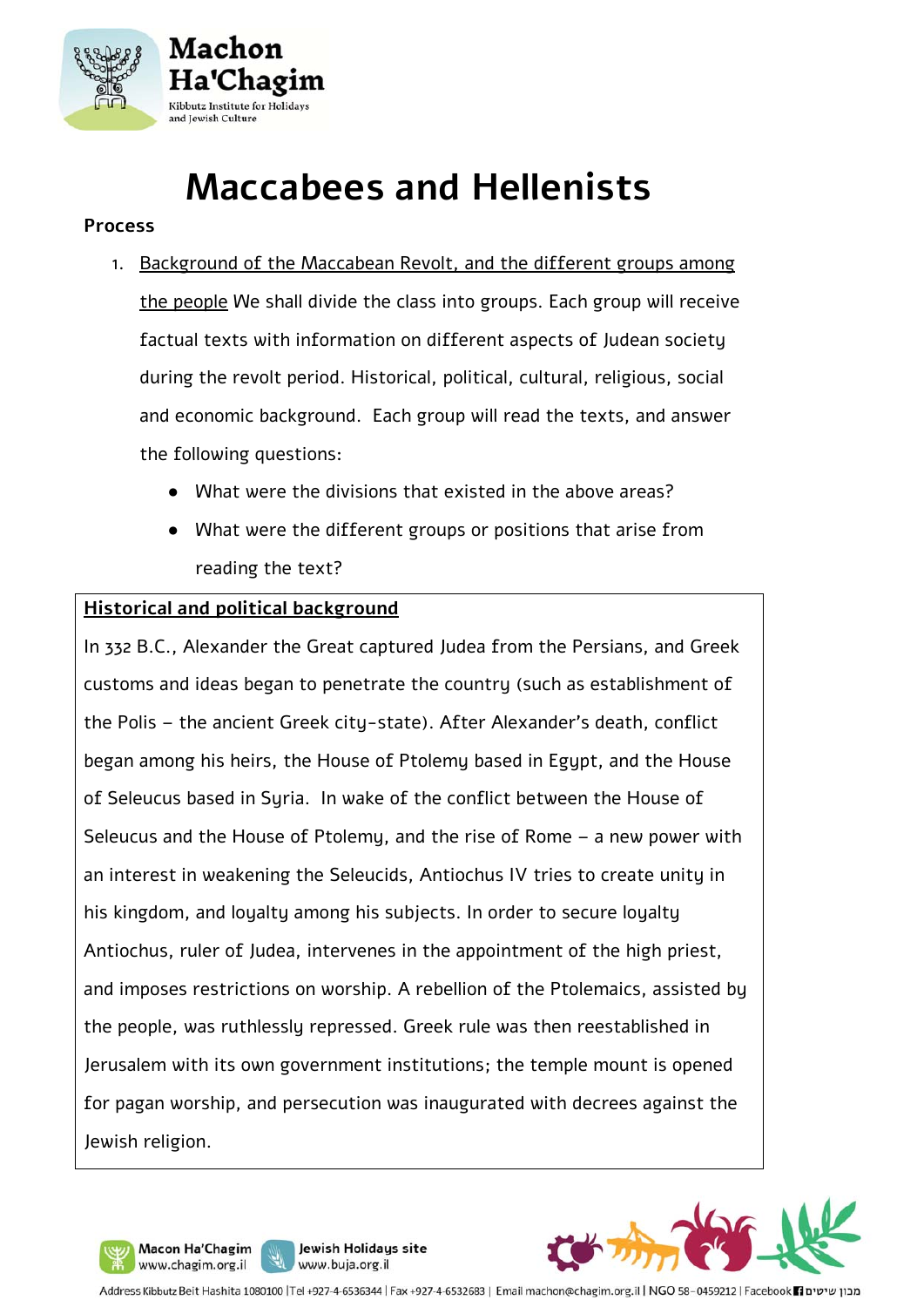

## **Maccabees and Hellenists**

#### **Process**

- 1. Background of the Maccabean Revolt, and the different groups among the people We shall divide the class into groups. Each group will receive factual texts with information on different aspects of Judean society during the revolt period. Historical, political, cultural, religious, social and economic background. Each group will read the texts, and answer the following questions:
	- What were the divisions that existed in the above areas?
	- What were the different groups or positions that arise from reading the text?

#### **Historical and political background**

In 332 B.C., Alexander the Great captured Judea from the Persians, and Greek customs and ideas began to penetrate the country (such as establishment of the Polis – the ancient Greek city-state). After Alexander's death, conflict began among his heirs, the House of Ptolemy based in Egypt, and the House of Seleucus based in Syria. In wake of the conflict between the House of Seleucus and the House of Ptolemy, and the rise of Rome – a new power with an interest in weakening the Seleucids, Antiochus IV tries to create unity in his kingdom, and loyalty among his subjects. In order to secure loyalty Antiochus, ruler of Judea, intervenes in the appointment of the high priest, and imposes restrictions on worship. A rebellion of the Ptolemaics, assisted by the people, was ruthlessly repressed. Greek rule was then reestablished in Jerusalem with its own government institutions; the temple mount is opened for pagan worship, and persecution was inaugurated with decrees against the Jewish religion.

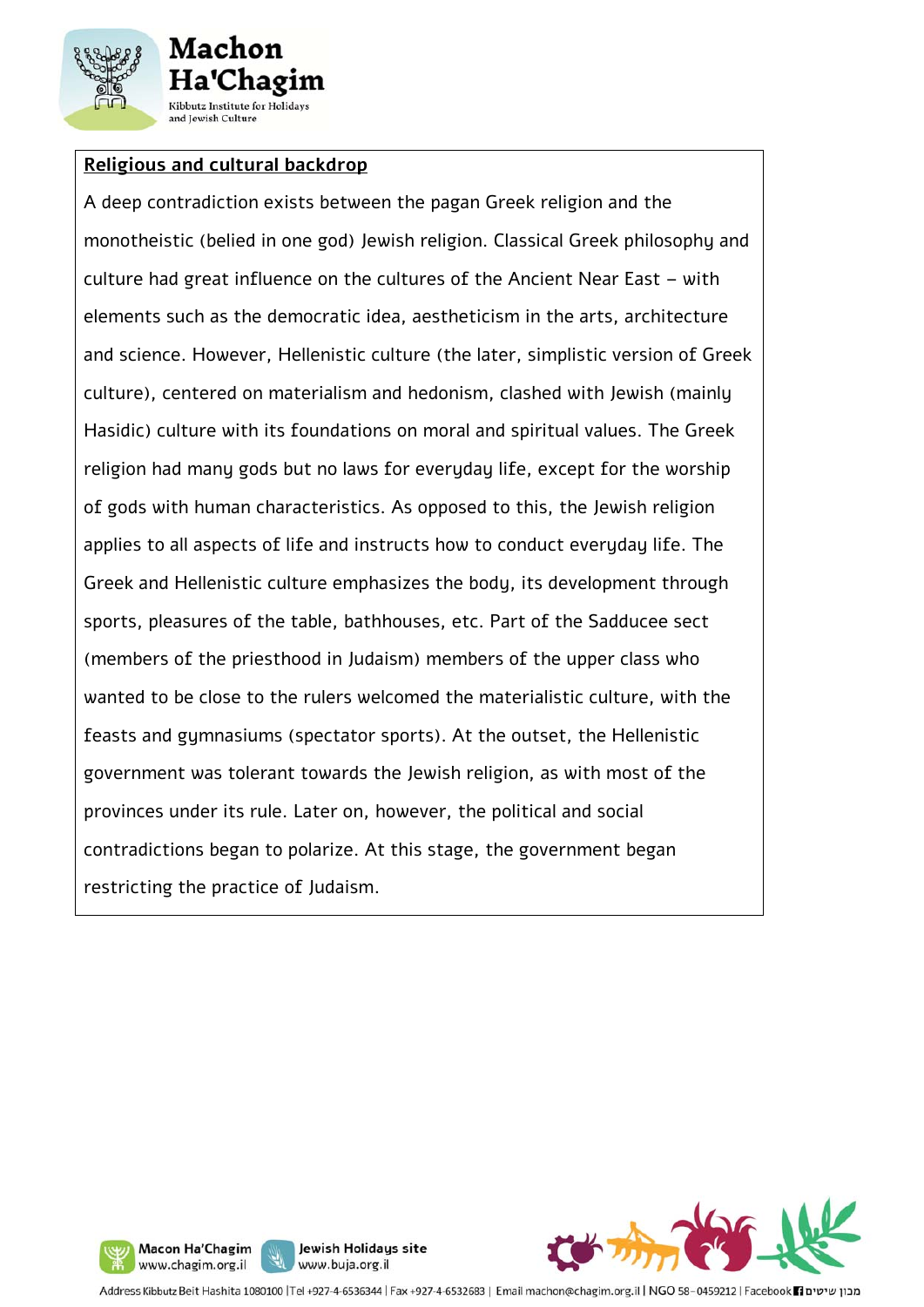

#### **Religious and cultural backdrop**

A deep contradiction exists between the pagan Greek religion and the monotheistic (belied in one god) Jewish religion. Classical Greek philosophy and culture had great influence on the cultures of the Ancient Near East – with elements such as the democratic idea, aestheticism in the arts, architecture and science. However, Hellenistic culture (the later, simplistic version of Greek culture), centered on materialism and hedonism, clashed with Jewish (mainly Hasidic) culture with its foundations on moral and spiritual values. The Greek religion had many gods but no laws for everyday life, except for the worship of gods with human characteristics. As opposed to this, the Jewish religion applies to all aspects of life and instructs how to conduct everyday life. The Greek and Hellenistic culture emphasizes the body, its development through sports, pleasures of the table, bathhouses, etc. Part of the Sadducee sect (members of the priesthood in Judaism) members of the upper class who wanted to be close to the rulers welcomed the materialistic culture, with the feasts and gymnasiums (spectator sports). At the outset, the Hellenistic government was tolerant towards the Jewish religion, as with most of the provinces under its rule. Later on, however, the political and social contradictions began to polarize. At this stage, the government began restricting the practice of Judaism.



Jewish Holidays site Macon Ha'Chagim www.chagim.org.il www.buja.org.il

Address Kibbutz Beit Hashita 1080100 |Tel +927-4-6536344 | Fax +927-4-6532683 | Email machon@chagim.org.il | NGO 58-0459212 | Facebook 1 מכון שיטים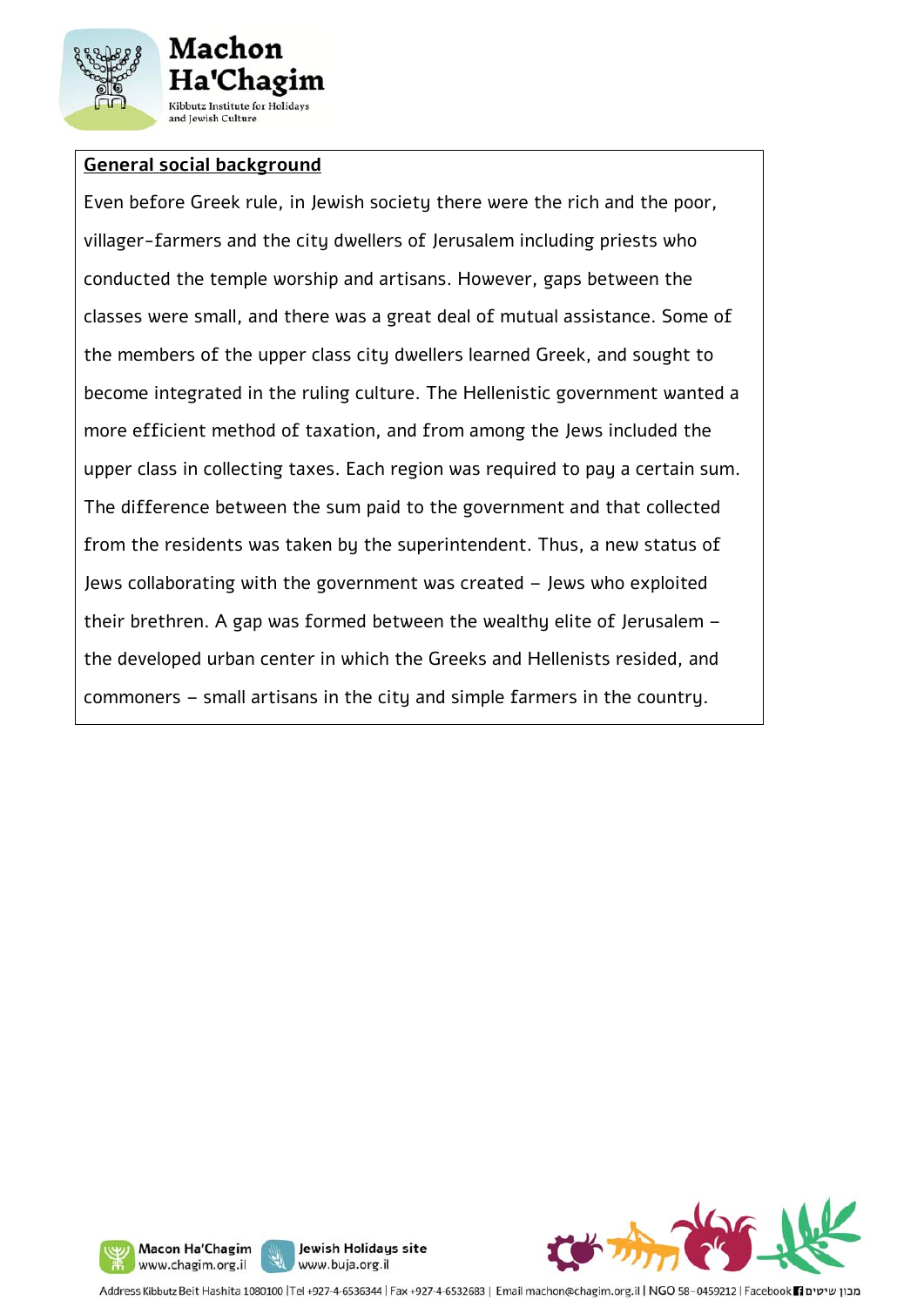

#### **General social background**

Even before Greek rule, in Jewish society there were the rich and the poor, villager-farmers and the city dwellers of Jerusalem including priests who conducted the temple worship and artisans. However, gaps between the classes were small, and there was a great deal of mutual assistance. Some of the members of the upper class city dwellers learned Greek, and sought to become integrated in the ruling culture. The Hellenistic government wanted a more efficient method of taxation, and from among the Jews included the upper class in collecting taxes. Each region was required to pay a certain sum. The difference between the sum paid to the government and that collected from the residents was taken by the superintendent. Thus, a new status of Jews collaborating with the government was created – Jews who exploited their brethren. A gap was formed between the wealthy elite of Jerusalem – the developed urban center in which the Greeks and Hellenists resided, and commoners – small artisans in the city and simple farmers in the country.

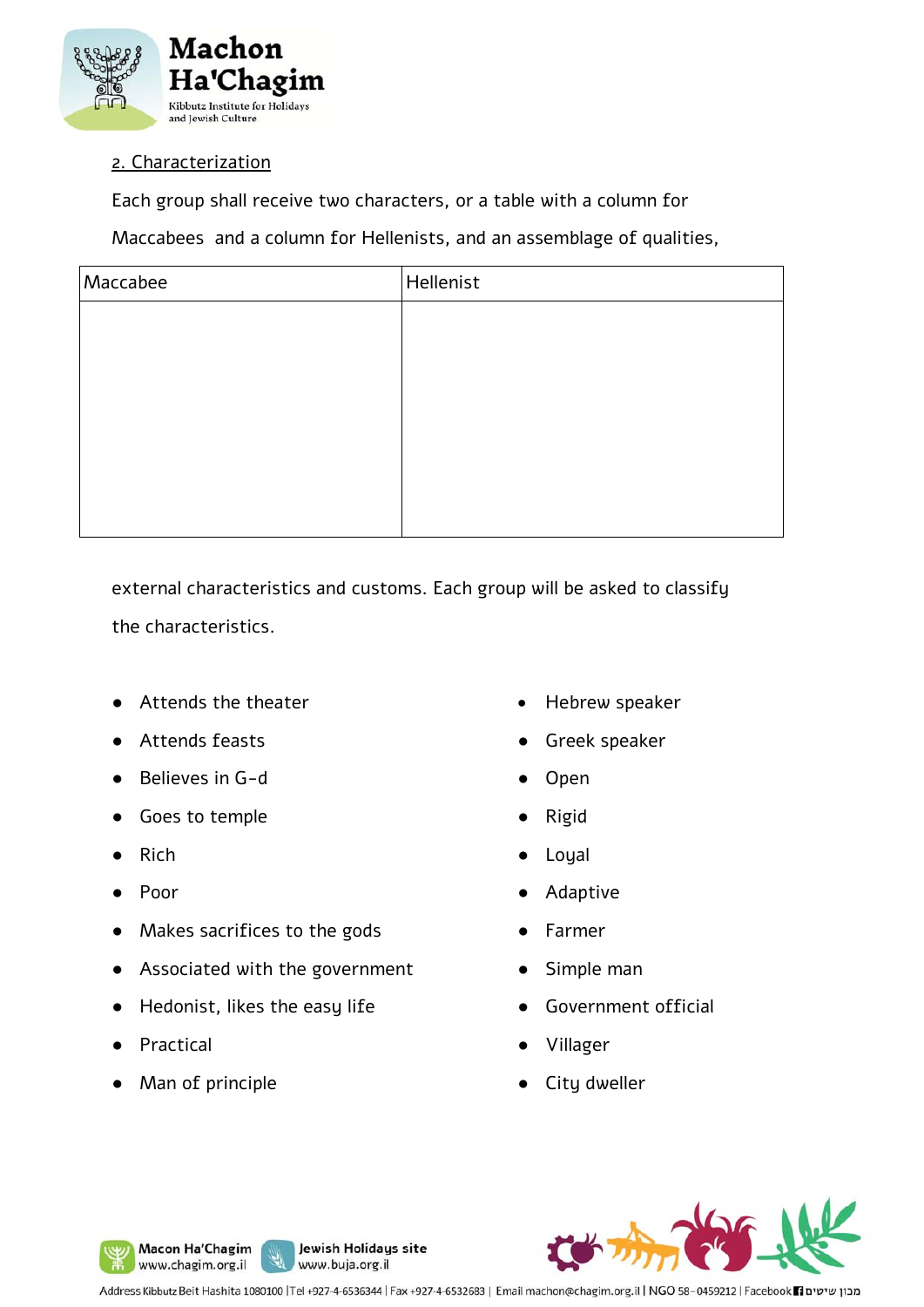

#### 2. Characterization

Each group shall receive two characters, or a table with a column for

Maccabees and a column for Hellenists, and an assemblage of qualities,

| Maccabee | Hellenist |
|----------|-----------|
|          |           |
|          |           |
|          |           |
|          |           |
|          |           |
|          |           |
|          |           |

external characteristics and customs. Each group will be asked to classify the characteristics.

- Attends the theater
- Attends feasts
- Believes in G-d
- Goes to temple
- Rich
- Poor
- Makes sacrifices to the gods
- Associated with the government
- Hedonist, likes the easy life
- **Practical**
- Man of principle

Macon Ha'Chagim www.chagim.org.il

- Hebrew speaker
- Greek speaker
- **Open**
- **Rigid**
- **Loyal**
- **Adaptive**
- **Farmer**
- Simple man
- Government official
- Villager
- City dweller



Address Kibbutz Beit Hashita 1080100 |Tel +927-4-6536344 | Fax +927-4-6532683 | Email machon@chagim.org.il | NGO 58-0459212 | Facebook 1 מכון שיטים

Jewish Holidays site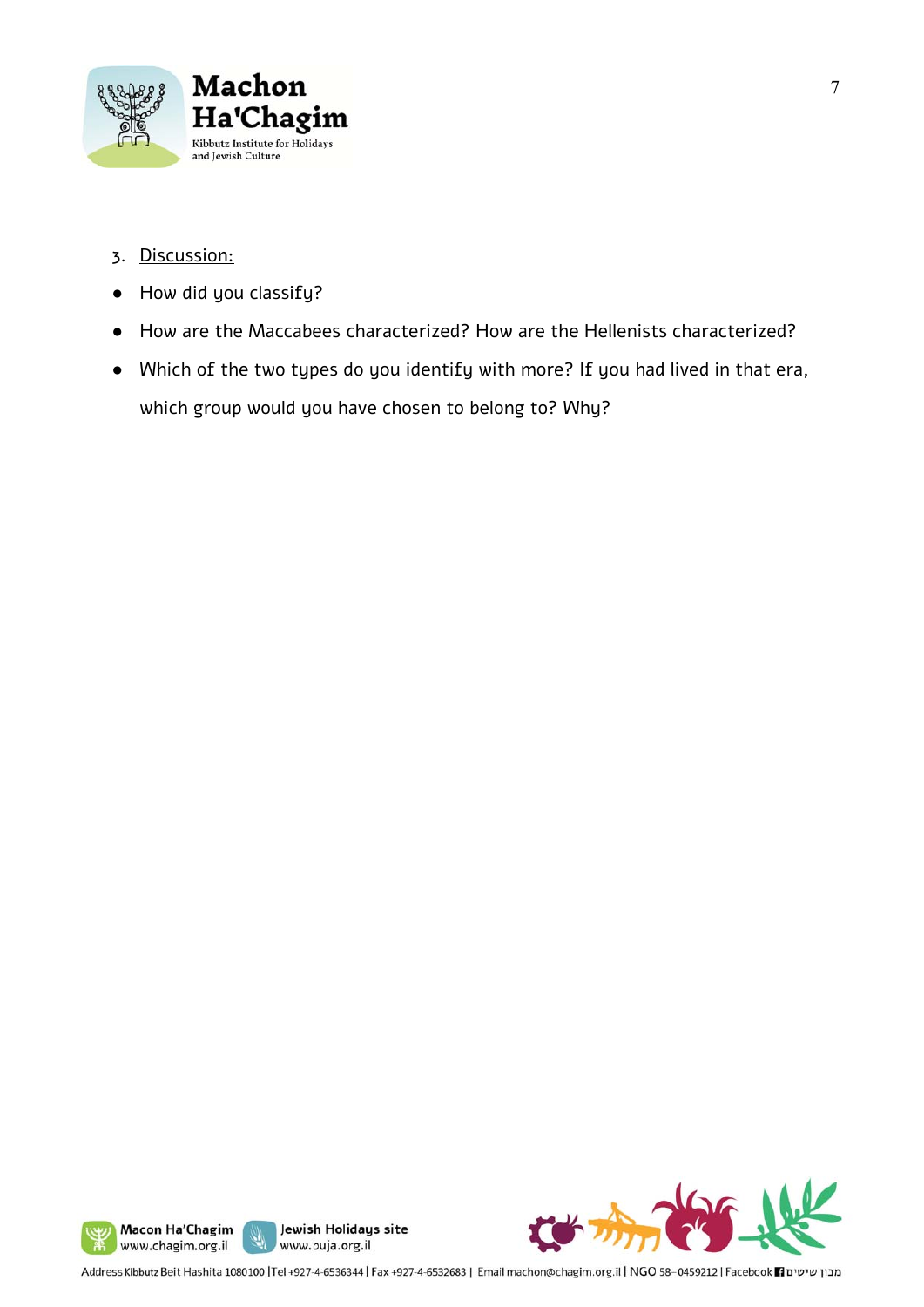

- 3. Discussion:
- How did you classify?
- How are the Maccabees characterized? How are the Hellenists characterized?
- Which of the two types do you identify with more? If you had lived in that era, which group would you have chosen to belong to? Why?







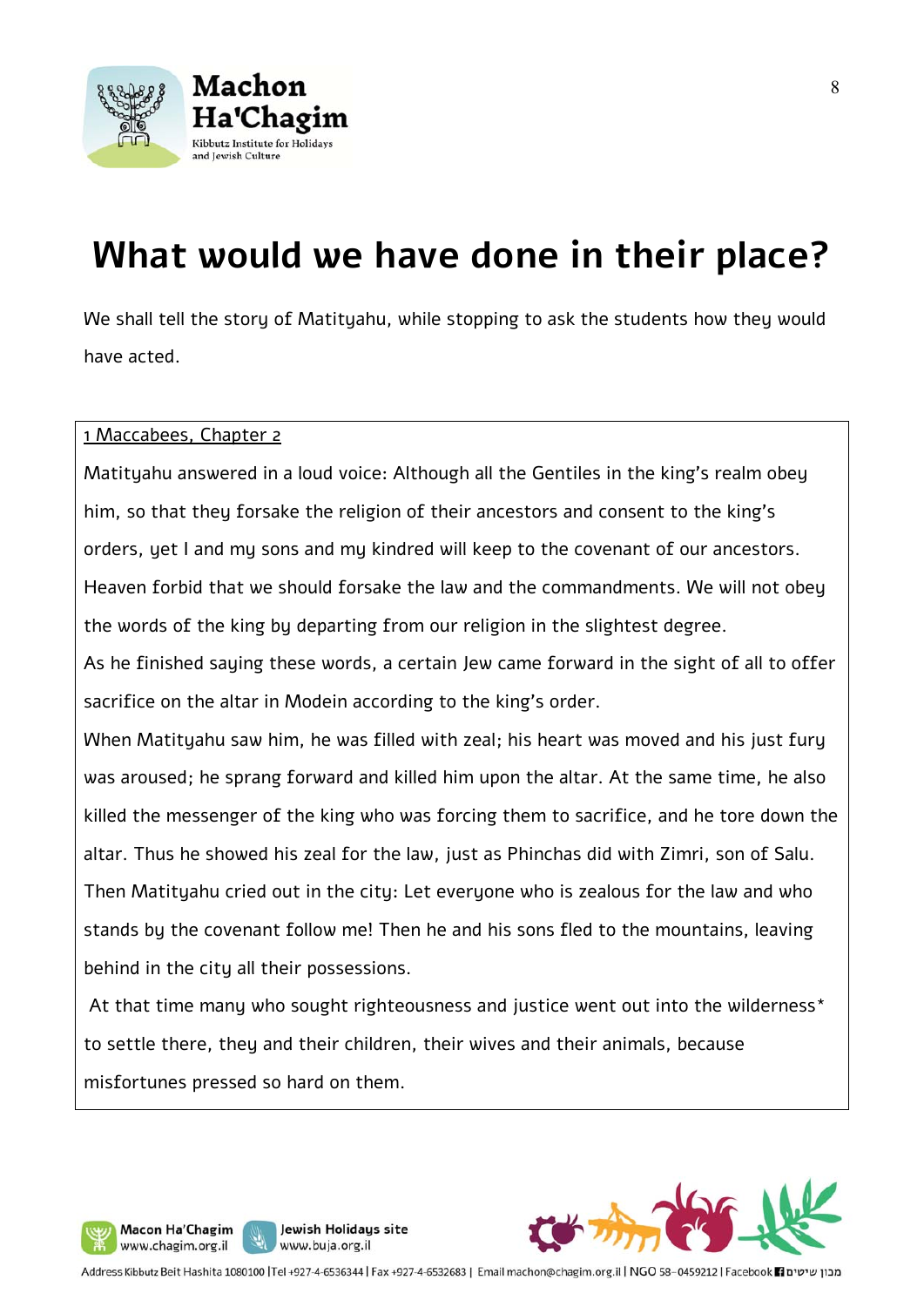

## **What would we have done in their place?**

We shall tell the story of Matityahu, while stopping to ask the students how they would have acted.

#### 1 Maccabees, Chapter 2

Matityahu answered in a loud voice: Although all the Gentiles in the king's realm obey him, so that they forsake the religion of their ancestors and consent to the king's orders, yet I and my sons and my kindred will keep to the covenant of our ancestors. Heaven forbid that we should forsake the law and the commandments. We will not obey the words of the king by departing from our religion in the slightest degree.

As he finished saying these words, a certain Jew came forward in the sight of all to offer sacrifice on the altar in Modein according to the king's order.

When Matityahu saw him, he was filled with zeal; his heart was moved and his just fury was aroused; he sprang forward and killed him upon the altar. At the same time, he also killed the messenger of the king who was forcing them to sacrifice, and he tore down the altar. Thus he showed his zeal for the law, just as Phinchas did with Zimri, son of Salu. Then Matityahu cried out in the city: Let everyone who is zealous for the law and who stands by the covenant follow me! Then he and his sons fled to the mountains, leaving behind in the city all their possessions.

At that time many who sought righteousness and justice went out into the wilderness\* to settle there, they and their children, their wives and their animals, because misfortunes pressed so hard on them.



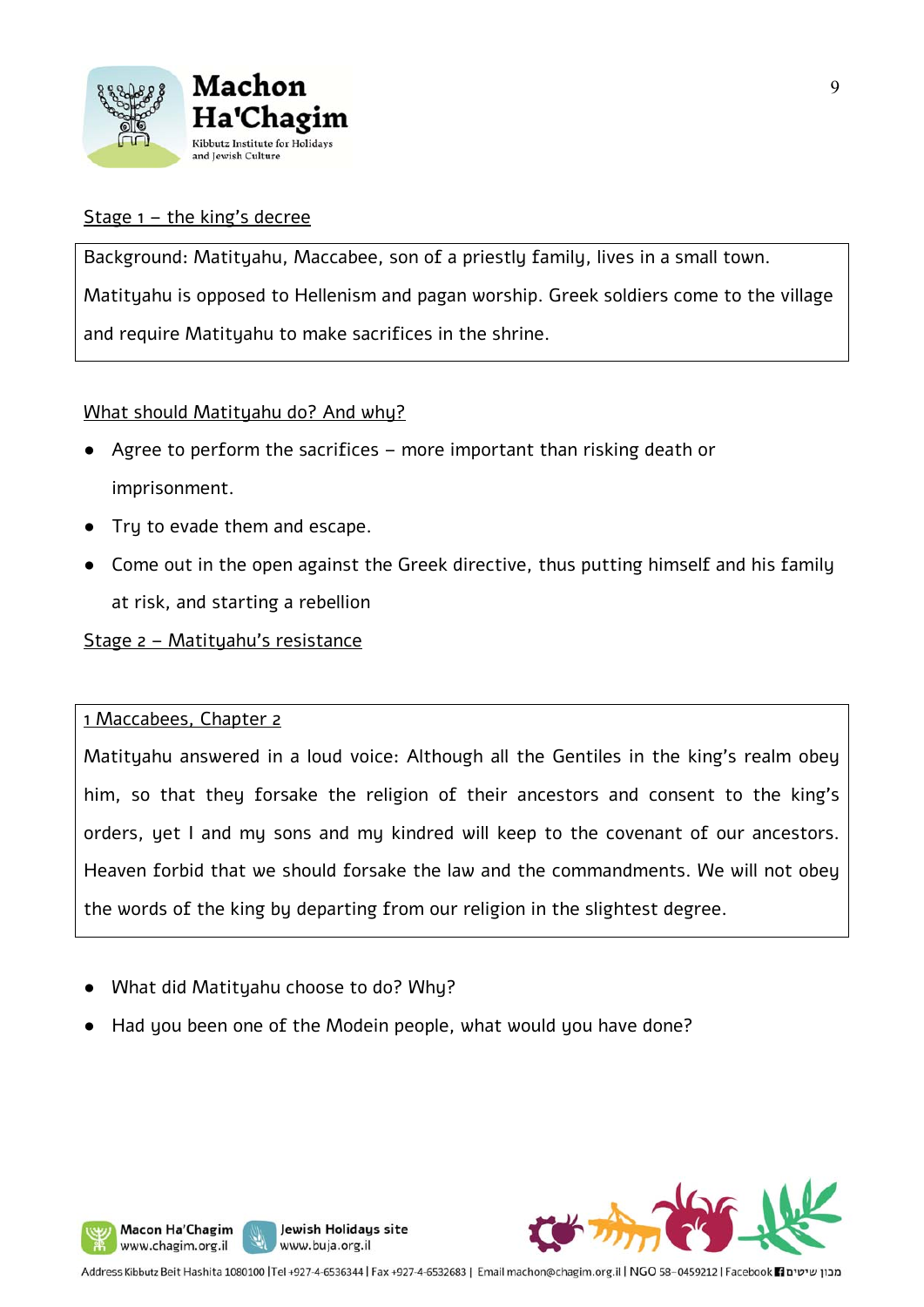

#### Stage  $1$  – the king's decree

Background: Matityahu, Maccabee, son of a priestly family, lives in a small town. Matityahu is opposed to Hellenism and pagan worship. Greek soldiers come to the village and require Matityahu to make sacrifices in the shrine.

#### What should Matityahu do? And why?

- Agree to perform the sacrifices more important than risking death or imprisonment.
- Try to evade them and escape.
- Come out in the open against the Greek directive, thus putting himself and his family at risk, and starting a rebellion

#### Stage 2 – Matityahu's resistance

#### 1 Maccabees, Chapter 2

Macon Ha'Chagim www.chagim.org.il

Matityahu answered in a loud voice: Although all the Gentiles in the king's realm obey him, so that they forsake the religion of their ancestors and consent to the king's orders, yet I and my sons and my kindred will keep to the covenant of our ancestors. Heaven forbid that we should forsake the law and the commandments. We will not obey the words of the king by departing from our religion in the slightest degree.

- What did Matityahu choose to do? Why?
- Had you been one of the Modein people, what would you have done?

Jewish Holidays site

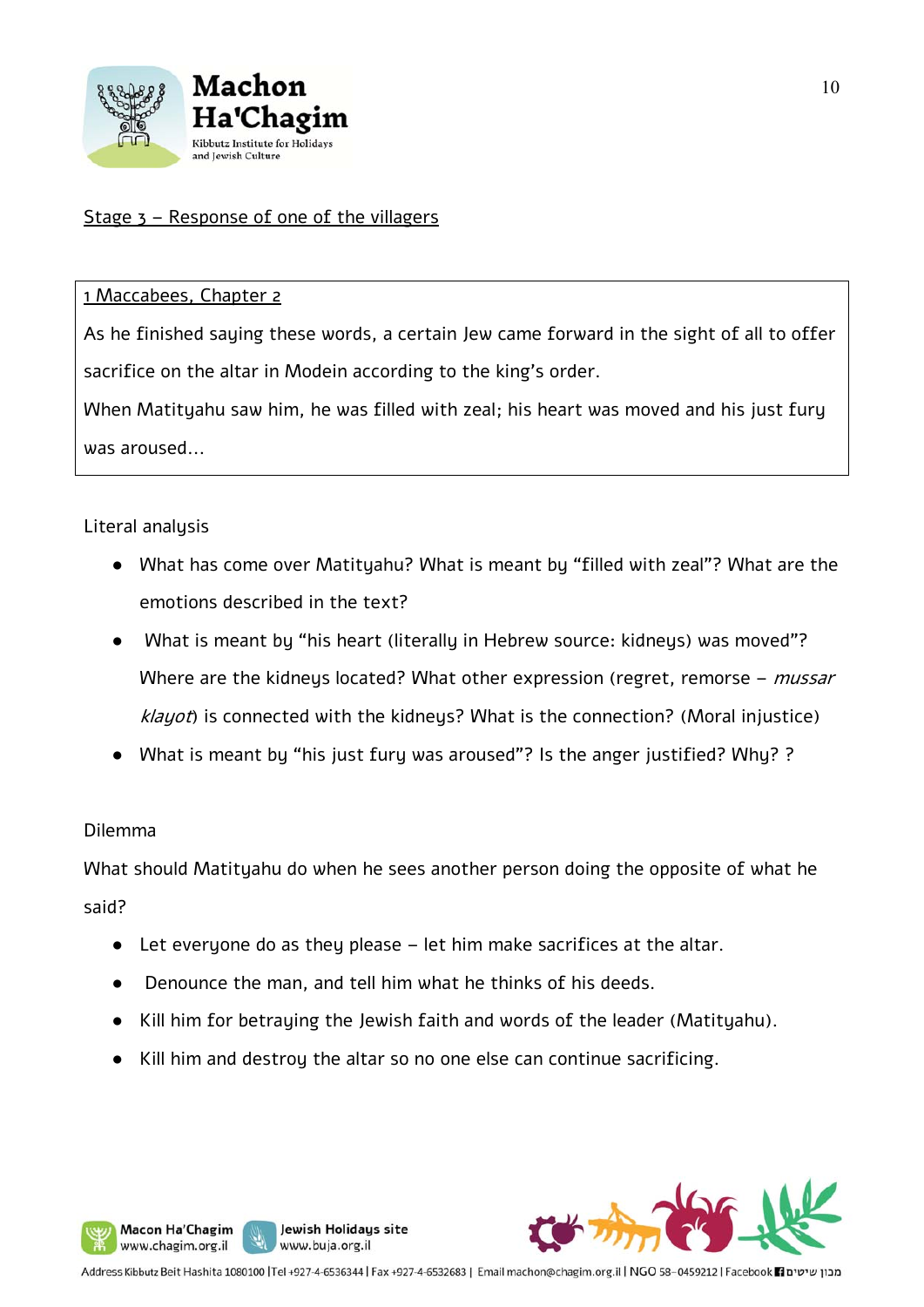

#### Stage 3 – Response of one of the villagers

#### 1 Maccabees, Chapter 2

As he finished saying these words, a certain Jew came forward in the sight of all to offer sacrifice on the altar in Modein according to the king's order.

When Matityahu saw him, he was filled with zeal; his heart was moved and his just fury was aroused...

#### Literal analysis

- What has come over Matityahu? What is meant by "filled with zeal"? What are the emotions described in the text?
- What is meant by "his heart (literally in Hebrew source: kidneys) was moved"? Where are the kidneys located? What other expression (regret, remorse –  $mussar$ klayot) is connected with the kidneys? What is the connection? (Moral injustice)
- What is meant by "his just fury was aroused"? Is the anger justified? Why? ?

#### Dilemma

Macon Ha'Chagim

www.chagim.org.il

What should Matityahu do when he sees another person doing the opposite of what he said?

- $\bullet$  Let everyone do as they please let him make sacrifices at the altar.
- Denounce the man, and tell him what he thinks of his deeds.

Jewish Holidays site

- Kill him for betraying the Jewish faith and words of the leader (Matityahu).
- Kill him and destroy the altar so no one else can continue sacrificing.

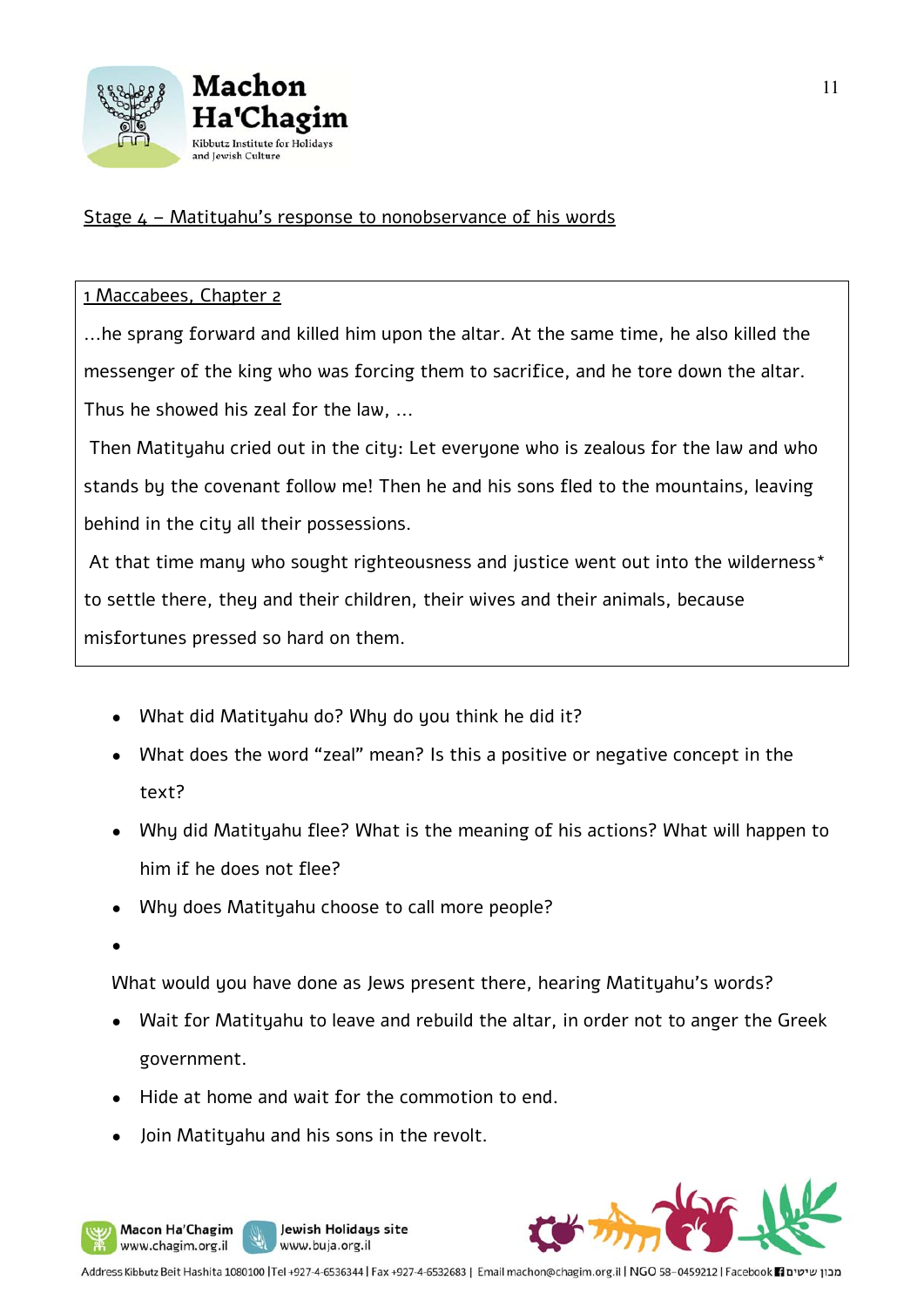

#### Stage  $4$  – Matityahu's response to nonobservance of his words

#### 1 Maccabees, Chapter 2

...he sprang forward and killed him upon the altar. At the same time, he also killed the messenger of the king who was forcing them to sacrifice, and he tore down the altar. Thus he showed his zeal for the law, ...

 Then Matityahu cried out in the city: Let everyone who is zealous for the law and who stands by the covenant follow me! Then he and his sons fled to the mountains, leaving behind in the city all their possessions.

At that time many who sought righteousness and justice went out into the wilderness\* to settle there, they and their children, their wives and their animals, because misfortunes pressed so hard on them.

- What did Matityahu do? Why do you think he did it?
- What does the word "zeal" mean? Is this a positive or negative concept in the text?
- Why did Matityahu flee? What is the meaning of his actions? What will happen to him if he does not flee?
- Why does Matityahu choose to call more people?
- ●

Macon Ha'Chagim www.chagim.org.il

What would you have done as Jews present there, hearing Matityahu's words?

- Wait for Matityahu to leave and rebuild the altar, in order not to anger the Greek government.
- Hide at home and wait for the commotion to end.

Jewish Holidays site

www.buja.org.il

Join Matituahu and his sons in the revolt.



Address Kibbutz Beit Hashita 1080100 |Tel +927-4-6536344 | Fax +927-4-6532683 | Email machon@chagim.org.il | NGO 58-0459212 | Facebook 1 מבון שיטים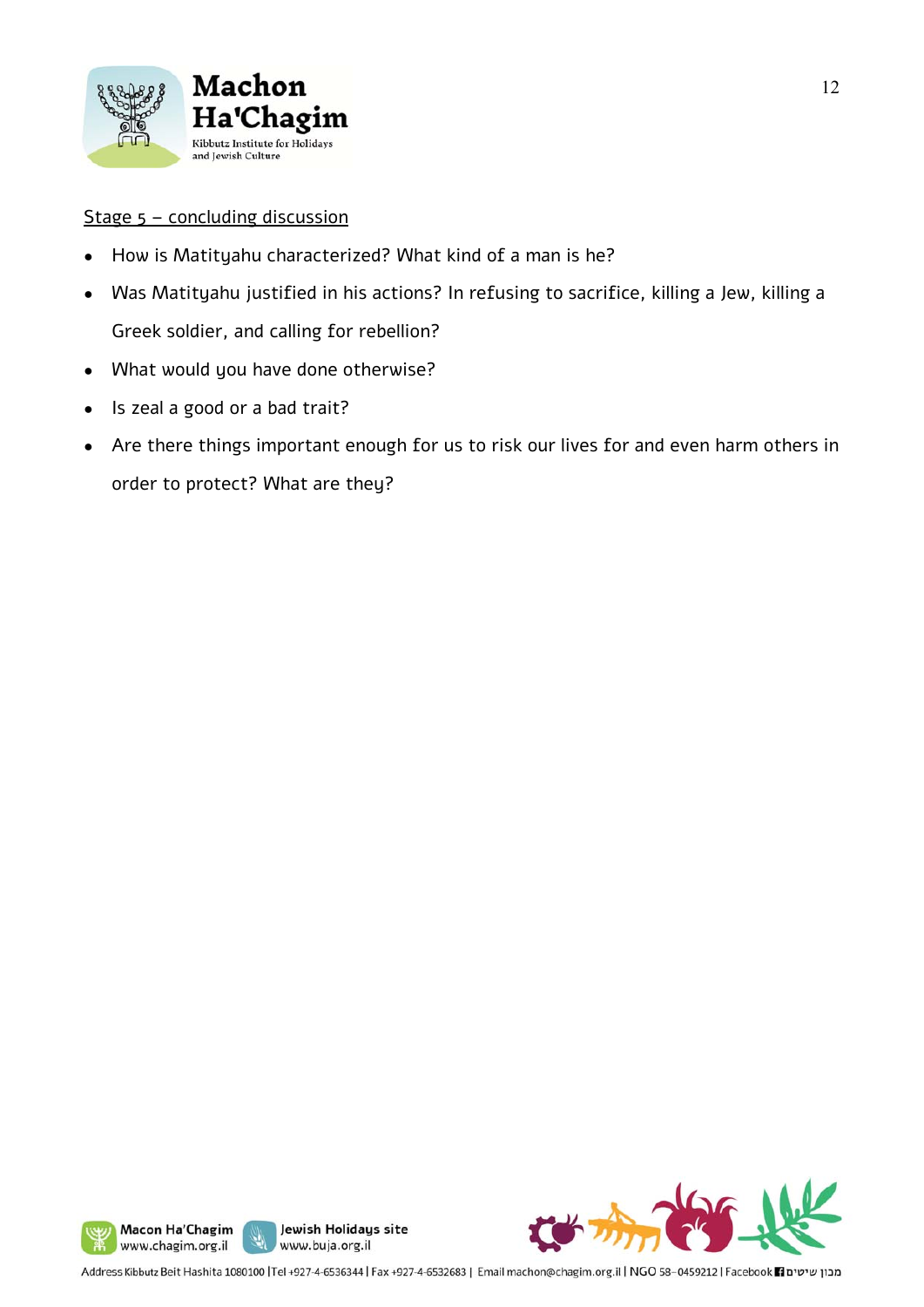

#### Stage 5 – concluding discussion

- How is Matityahu characterized? What kind of a man is he?
- Was Matityahu justified in his actions? In refusing to sacrifice, killing a Jew, killing a Greek soldier, and calling for rebellion?
- What would you have done otherwise?
- Is zeal a good or a bad trait?
- Are there things important enough for us to risk our lives for and even harm others in order to protect? What are they?





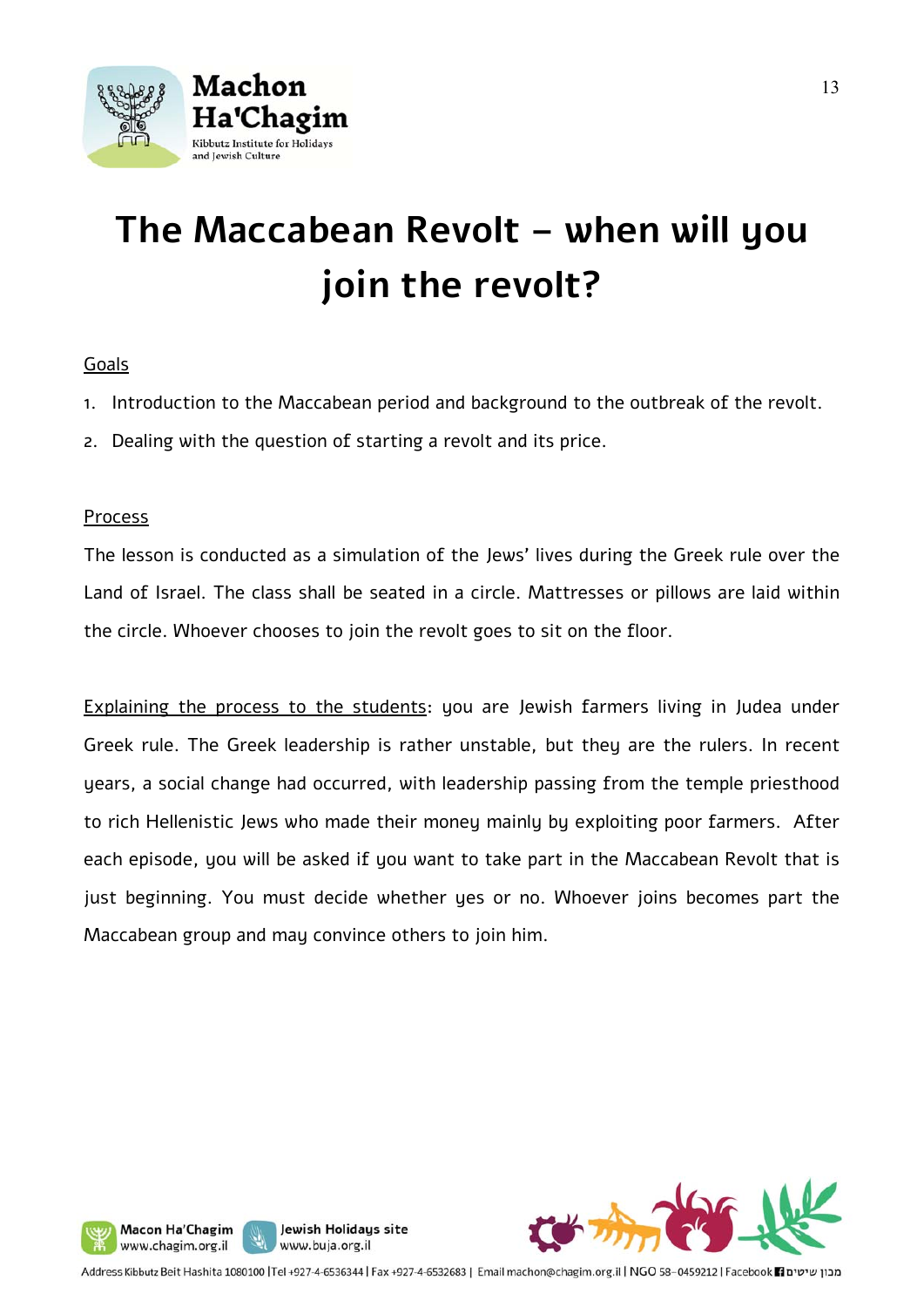

# **The Maccabean Revolt – when will you join the revolt?**

#### Goals

- 1. Introduction to the Maccabean period and background to the outbreak of the revolt.
- 2. Dealing with the question of starting a revolt and its price.

#### Process

The lesson is conducted as a simulation of the Jews' lives during the Greek rule over the Land of Israel. The class shall be seated in a circle. Mattresses or pillows are laid within the circle. Whoever chooses to join the revolt goes to sit on the floor.

Explaining the process to the students: you are Jewish farmers living in Judea under Greek rule. The Greek leadership is rather unstable, but they are the rulers. In recent years, a social change had occurred, with leadership passing from the temple priesthood to rich Hellenistic Jews who made their money mainly by exploiting poor farmers. After each episode, you will be asked if you want to take part in the Maccabean Revolt that is just beginning. You must decide whether yes or no. Whoever joins becomes part the Maccabean group and may convince others to join him.





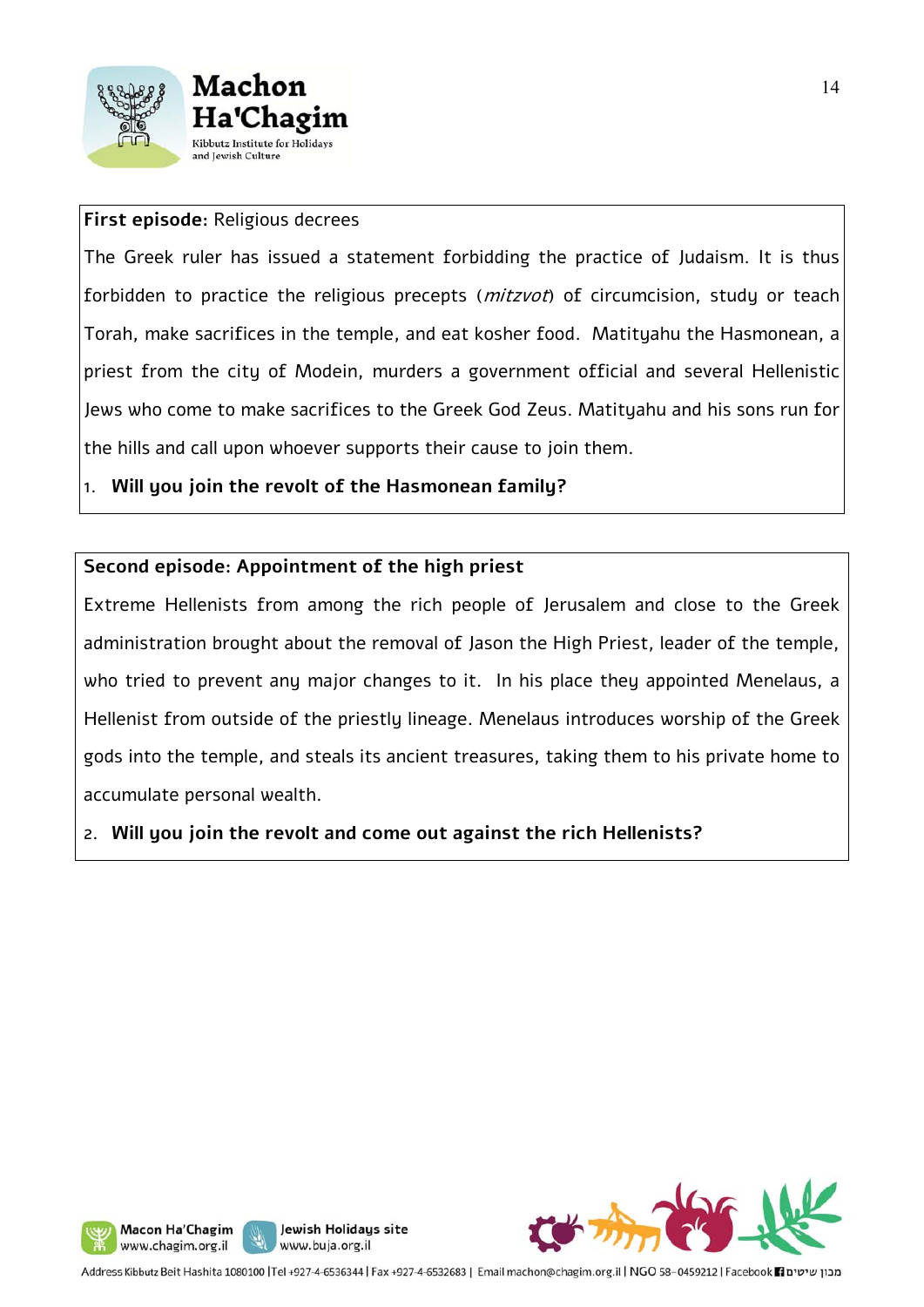



#### **First episode:** Religious decrees

The Greek ruler has issued a statement forbidding the practice of Judaism. It is thus forbidden to practice the religious precepts (mitzvot) of circumcision, study or teach Torah, make sacrifices in the temple, and eat kosher food. Matityahu the Hasmonean, a priest from the city of Modein, murders a government official and several Hellenistic Jews who come to make sacrifices to the Greek God Zeus. Matityahu and his sons run for the hills and call upon whoever supports their cause to join them.

1. **Will you join the revolt of the Hasmonean family?**

#### **Second episode: Appointment of the high priest**

Extreme Hellenists from among the rich people of Jerusalem and close to the Greek administration brought about the removal of Jason the High Priest, leader of the temple, who tried to prevent any major changes to it. In his place they appointed Menelaus, a Hellenist from outside of the priestly lineage. Menelaus introduces worship of the Greek gods into the temple, and steals its ancient treasures, taking them to his private home to accumulate personal wealth.

2. **Will you join the revolt and come out against the rich Hellenists?** 







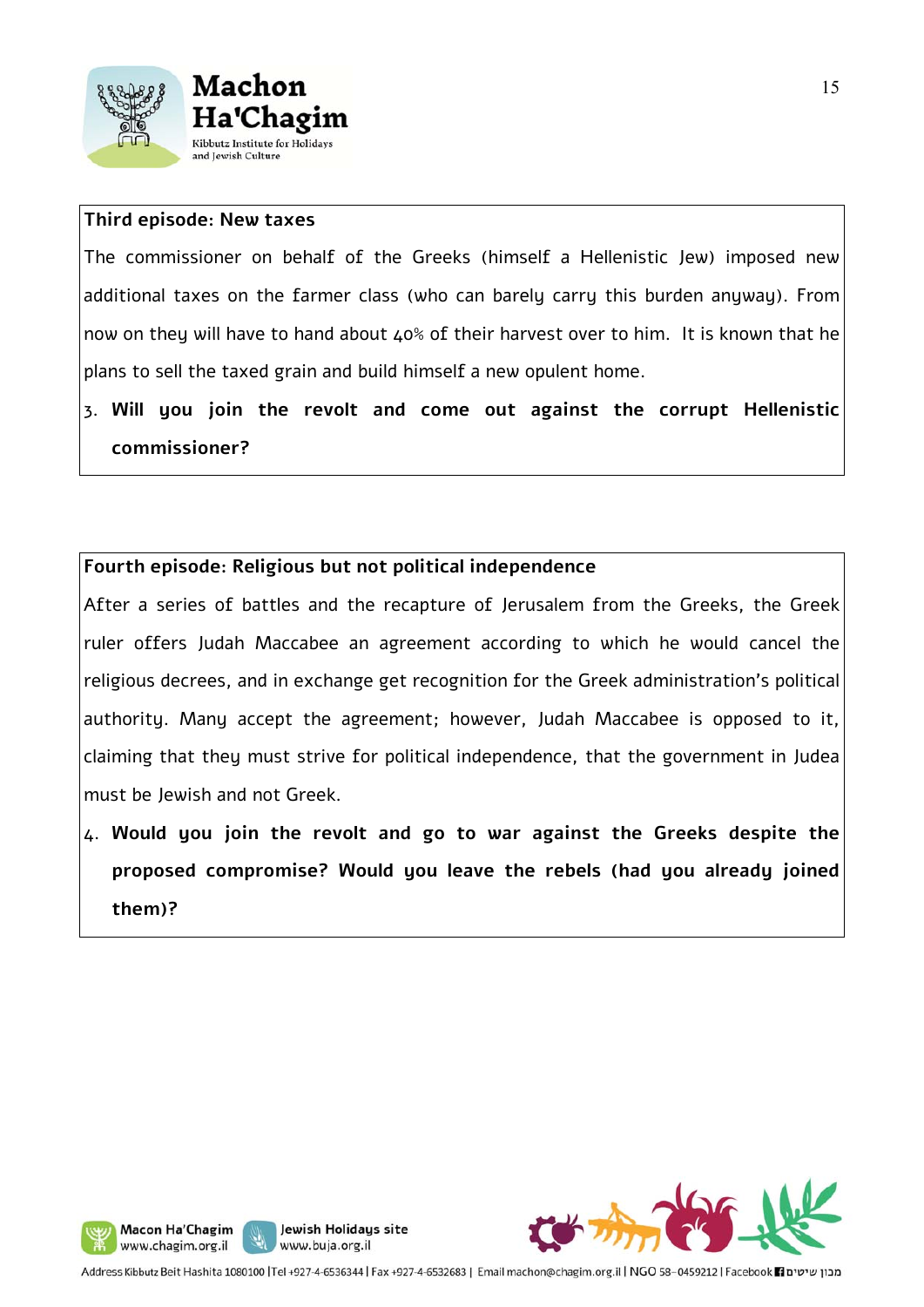



#### **Third episode: New taxes**

The commissioner on behalf of the Greeks (himself a Hellenistic Jew) imposed new additional taxes on the farmer class (who can barely carry this burden anyway). From now on they will have to hand about 40% of their harvest over to him. It is known that he plans to sell the taxed grain and build himself a new opulent home.

3. **Will you join the revolt and come out against the corrupt Hellenistic commissioner?** 

#### **Fourth episode: Religious but not political independence**

After a series of battles and the recapture of Jerusalem from the Greeks, the Greek ruler offers Judah Maccabee an agreement according to which he would cancel the religious decrees, and in exchange get recognition for the Greek administration's political authority. Many accept the agreement; however, Judah Maccabee is opposed to it, claiming that they must strive for political independence, that the government in Judea must be Jewish and not Greek.

4. **Would you join the revolt and go to war against the Greeks despite the proposed compromise? Would you leave the rebels (had you already joined them)?**



Jewish Holidays site

Macon Ha'Chagim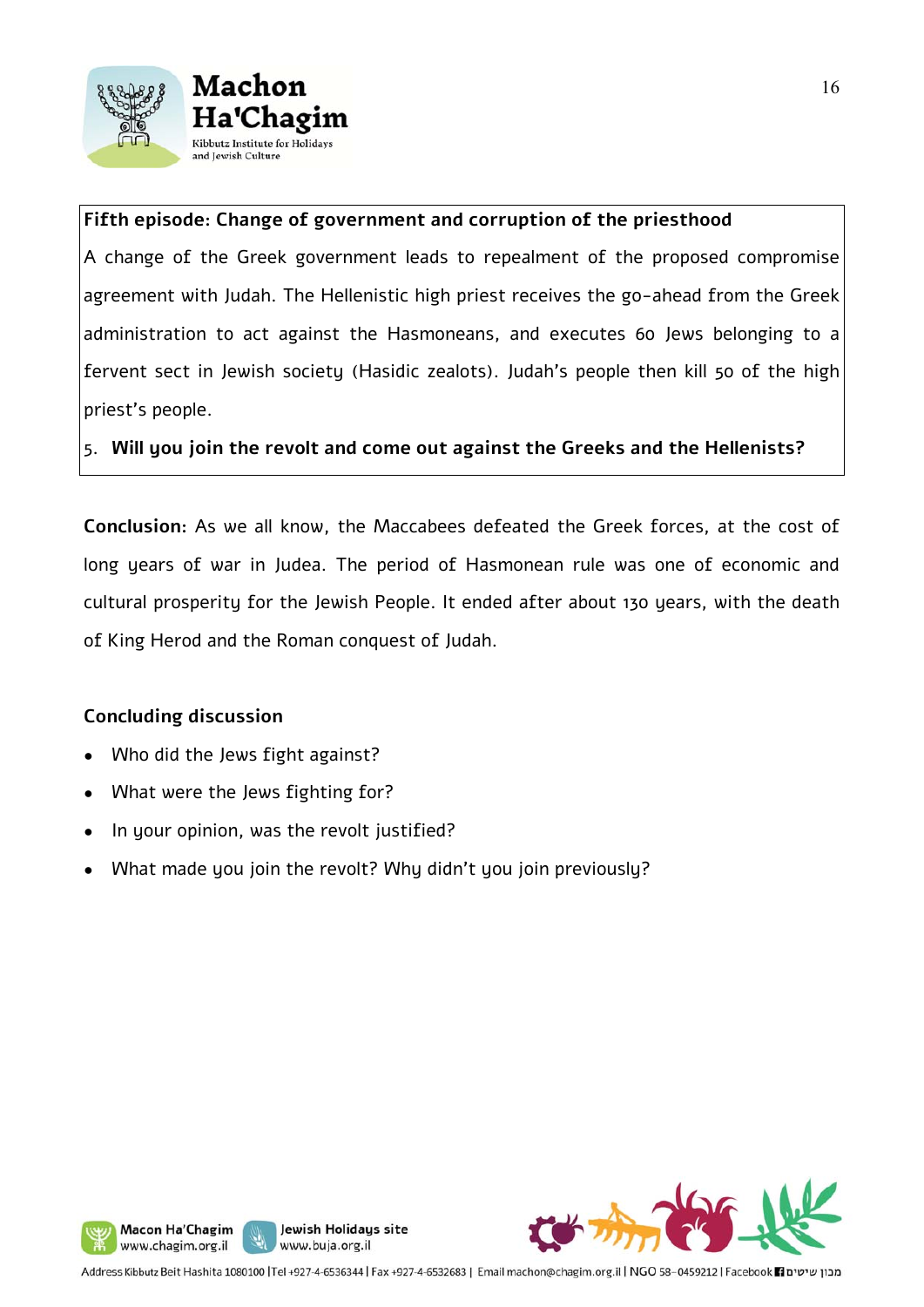



#### **Fifth episode: Change of government and corruption of the priesthood**

A change of the Greek government leads to repealment of the proposed compromise agreement with Judah. The Hellenistic high priest receives the go-ahead from the Greek administration to act against the Hasmoneans, and executes 60 Jews belonging to a fervent sect in Jewish society (Hasidic zealots). Judah's people then kill 50 of the high priest's people.

5. **Will you join the revolt and come out against the Greeks and the Hellenists?** 

**Conclusion:** As we all know, the Maccabees defeated the Greek forces, at the cost of long years of war in Judea. The period of Hasmonean rule was one of economic and cultural prosperity for the Jewish People. It ended after about 130 years, with the death of King Herod and the Roman conquest of Judah.

#### **Concluding discussion**

- Who did the Jews fight against?
- What were the Jews fighting for?
- In your opinion, was the revolt justified?
- What made you join the revolt? Why didn't you join previously?





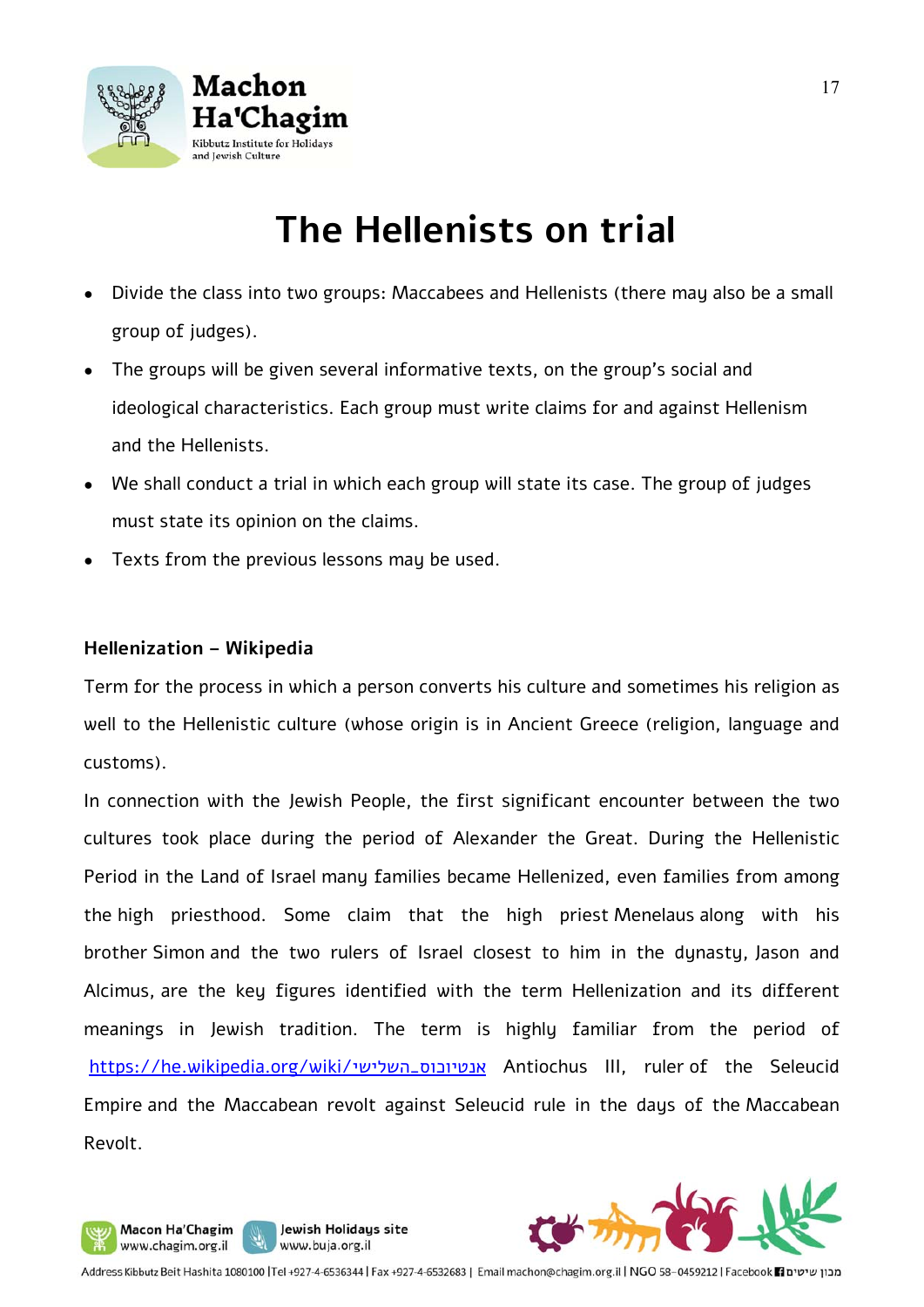

## **The Hellenists on trial**

- Divide the class into two groups: Maccabees and Hellenists (there may also be a small group of judges).
- The groups will be given several informative texts, on the group's social and ideological characteristics. Each group must write claims for and against Hellenism and the Hellenists.
- We shall conduct a trial in which each group will state its case. The group of judges must state its opinion on the claims.
- Texts from the previous lessons may be used.

#### **Hellenization – Wikipedia**

Macon Ha'Chagim

www.chagim.org.il

Term for the process in which a person converts his culture and sometimes his religion as well to the Hellenistic culture (whose origin is in Ancient Greece (religion, language and customs).

In connection with the Jewish People, the first significant encounter between the two cultures took place during the period of Alexander the Great. During the Hellenistic Period in the Land of Israel many families became Hellenized, even families from among the high priesthood. Some claim that the high priest Menelaus along with his brother Simon and the two rulers of Israel closest to him in the dynasty, Jason and Alcimus, are the key figures identified with the term Hellenization and its different meanings in Jewish tradition. The term is highly familiar from the period of https://he.wikipedia.org/wiki/<sub>W</sub>iki\_<sub>n</sub>uturiochus III, ruler of the Seleucid Empire and the Maccabean revolt against Seleucid rule in the days of the Maccabean Revolt.



Jewish Holidays site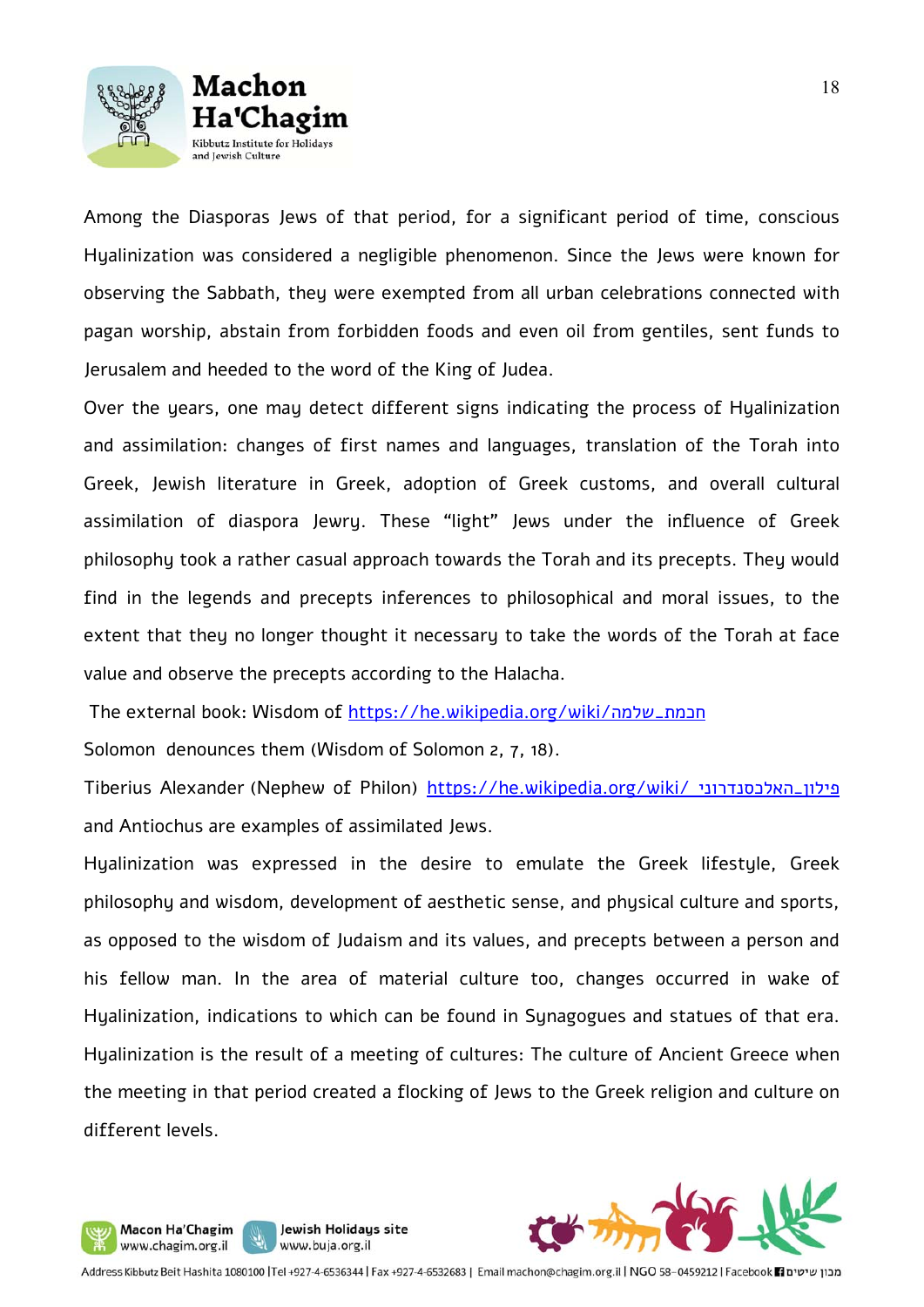



Among the Diasporas Jews of that period, for a significant period of time, conscious Hyalinization was considered a negligible phenomenon. Since the Jews were known for observing the Sabbath, they were exempted from all urban celebrations connected with pagan worship, abstain from forbidden foods and even oil from gentiles, sent funds to Jerusalem and heeded to the word of the King of Judea.

Over the years, one may detect different signs indicating the process of Hyalinization and assimilation: changes of first names and languages, translation of the Torah into Greek, Jewish literature in Greek, adoption of Greek customs, and overall cultural assimilation of diaspora Jewry. These "light" Jews under the influence of Greek philosophy took a rather casual approach towards the Torah and its precepts. They would find in the legends and precepts inferences to philosophical and moral issues, to the extent that they no longer thought it necessary to take the words of the Torah at face value and observe the precepts according to the Halacha.

The external book: Wisdom of https://he.wikipedia.org/wiki/שלמה\_חכמת

Solomon denounces them (Wisdom of Solomon 2, 7, 18).

Jewish Holidays site

www.buja.org.il

Macon Ha'Chagim

www.chagim.org.il

9

Tiberius Alexander (Nephew of Philon) https://he.wikipedia.org/wiki/ האלכסנדרוני\_פילון and Antiochus are examples of assimilated Jews.

Hyalinization was expressed in the desire to emulate the Greek lifestyle, Greek philosophy and wisdom, development of aesthetic sense, and physical culture and sports, as opposed to the wisdom of Judaism and its values, and precepts between a person and his fellow man. In the area of material culture too, changes occurred in wake of Hyalinization, indications to which can be found in Synagogues and statues of that era. Hyalinization is the result of a meeting of cultures: The culture of Ancient Greece when the meeting in that period created a flocking of Jews to the Greek religion and culture on different levels.

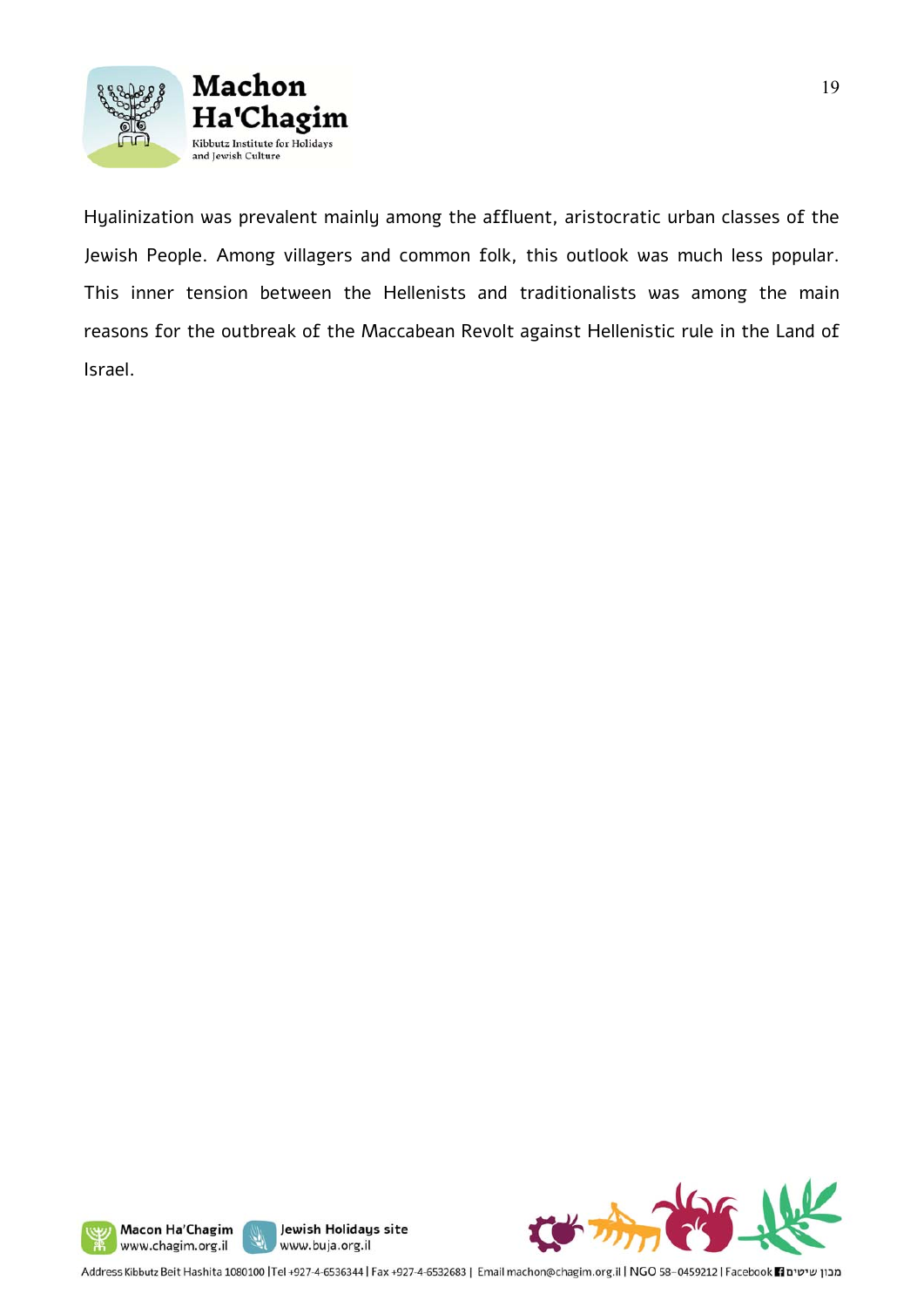

Hyalinization was prevalent mainly among the affluent, aristocratic urban classes of the Jewish People. Among villagers and common folk, this outlook was much less popular. This inner tension between the Hellenists and traditionalists was among the main reasons for the outbreak of the Maccabean Revolt against Hellenistic rule in the Land of Israel.









Address Kibbutz Beit Hashita 1080100 |Tel +927-4-6536344 | Fax +927-4-6532683 | Email machon@chagim.org.il | NGO 58-0459212 | Facebook 1 מכון שיטים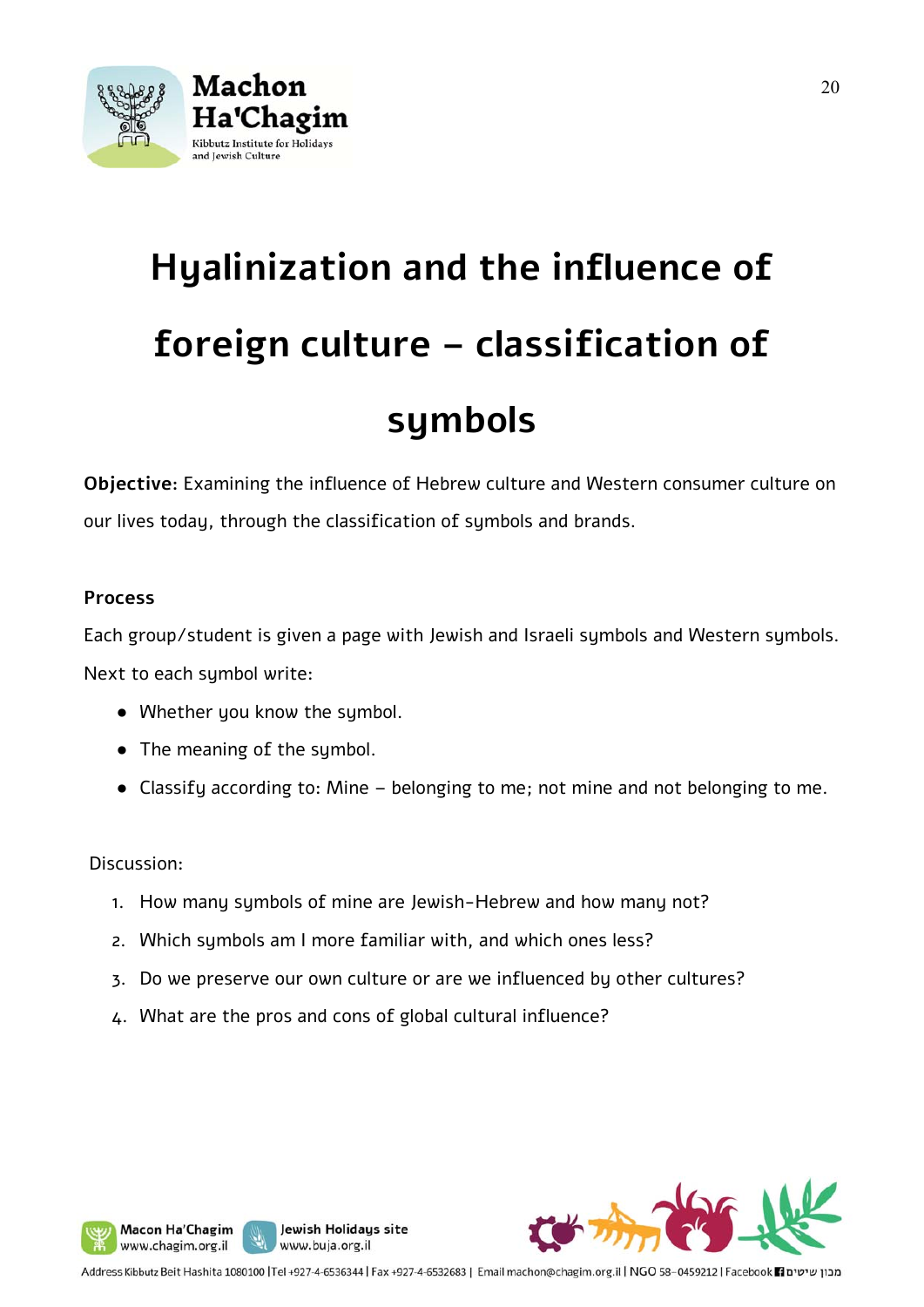

# **Hyalinization and the influence of foreign culture – classification of**

## **symbols**

**Objective:** Examining the influence of Hebrew culture and Western consumer culture on our lives today, through the classification of symbols and brands.

#### **Process**

Each group/student is given a page with Jewish and Israeli symbols and Western symbols. Next to each symbol write:

- Whether you know the symbol.
- The meaning of the symbol.
- Classify according to: Mine belonging to me; not mine and not belonging to me.

#### Discussion:

Macon Ha'Chagim

www.chagim.org.il

- 1. How many symbols of mine are Jewish-Hebrew and how many not?
- 2. Which symbols am I more familiar with, and which ones less?
- 3. Do we preserve our own culture or are we influenced by other cultures?
- 4. What are the pros and cons of global cultural influence?

Jewish Holidays site

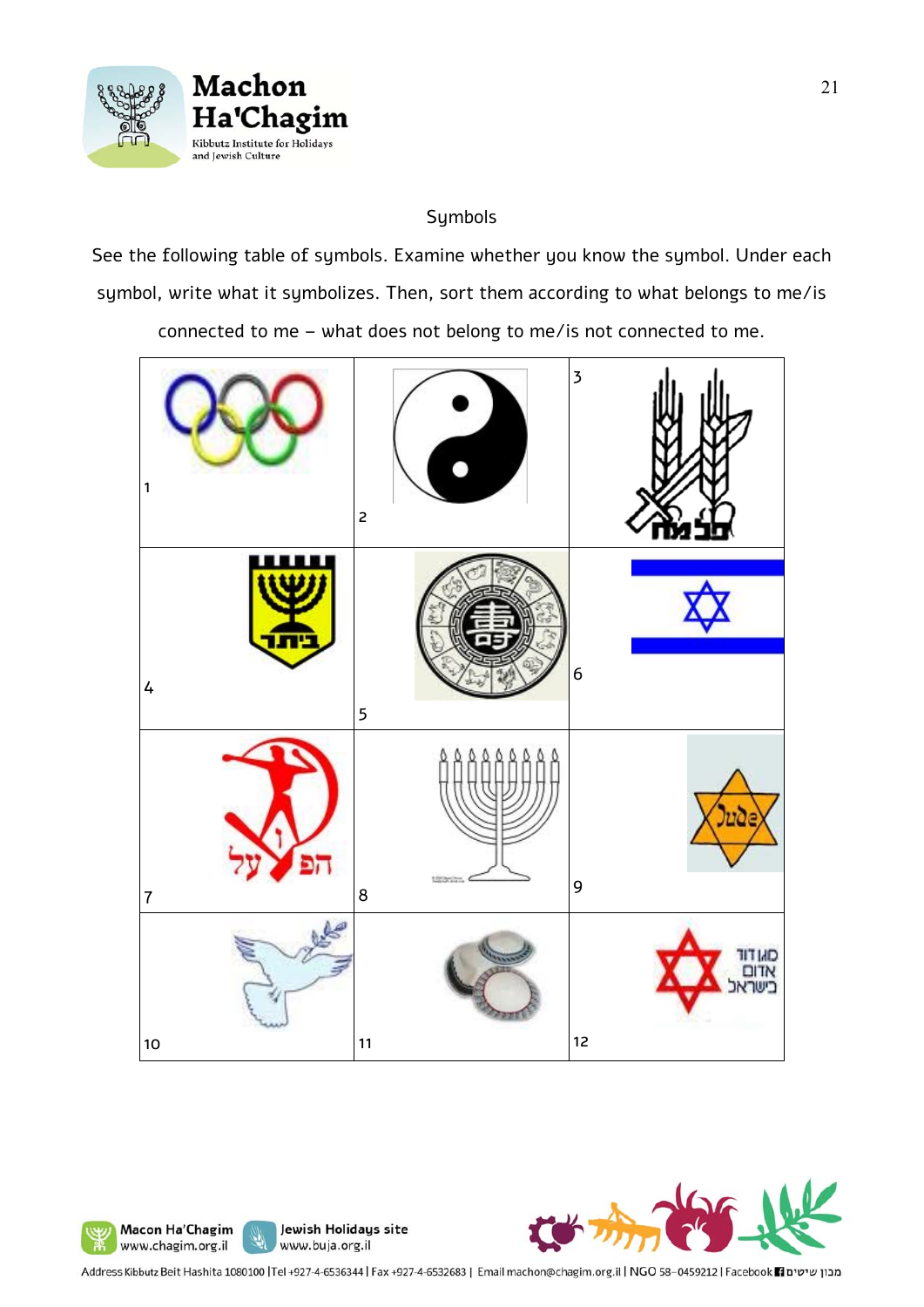

Macon Ha'Chagim

www.chagim.org.il

y,

#### Symbols

See the following table of symbols. Examine whether you know the symbol. Under each symbol, write what it symbolizes. Then, sort them according to what belongs to me/is

connected to me – what does not belong to me/is not connected to me.





Address Kibbutz Beit Hashita 1080100 |Tel +927-4-6536344 | Fax +927-4-6532683 | Email machon@chagim.org.il | NGO 58-0459212 | Facebook 1 מכון שיטים

Jewish Holidays site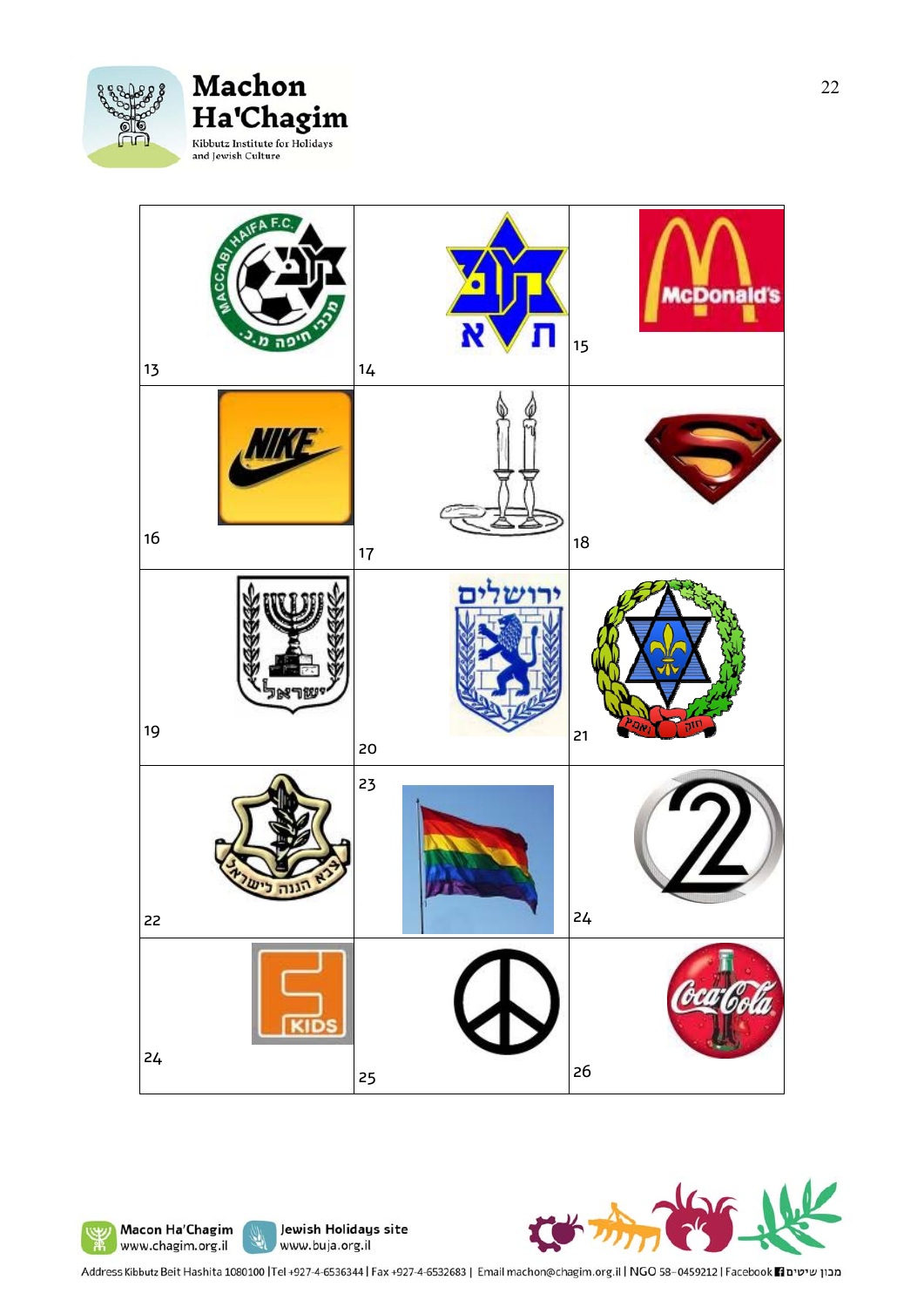

#### Machon Ha'Chagim Kibbutz Institute for Holidays and Jewish Culture

| F.C<br>MACCABIA<br>ה<br>13 | N<br>$14$ | <b>McDonald's</b><br>15 |
|----------------------------|-----------|-------------------------|
| $16$                       | 17        | 18                      |
| יישראו<br>19               | 20        | ٦Ú<br>Jψ<br>21          |
| גנה<br>22                  | 23        | 24                      |
| 24                         | 25        | 26                      |







Address Kibbutz Beit Hashita 1080100 |Tel +927-4-6536344 | Fax +927-4-6532683 | Email machon@chagim.org.il | NGO 58-0459212 | Facebook | מבון שיטים